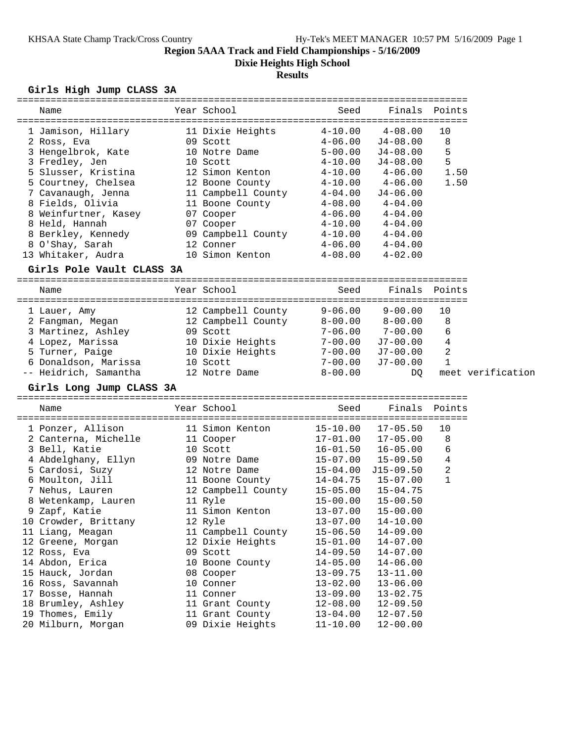**Dixie Heights High School**

## **Results**

# **Girls High Jump CLASS 3A**

| Name                      | Year School        | Seed         | Finals              | Points            |
|---------------------------|--------------------|--------------|---------------------|-------------------|
|                           |                    |              |                     |                   |
| 1 Jamison, Hillary        | 11 Dixie Heights   | $4 - 10.00$  | $4 - 08.00$         | 10                |
| 2 Ross, Eva               | 09 Scott           | $4 - 06.00$  | $J4 - 08.00$        | 8                 |
| 3 Hengelbrok, Kate        | 10 Notre Dame      | $5 - 00.00$  | J4-08.00            | 5                 |
| 3 Fredley, Jen            | 10 Scott           | $4 - 10.00$  | $J4-08.00$          | 5                 |
| 5 Slusser, Kristina       | 12 Simon Kenton    | $4 - 10.00$  | $4 - 06.00$         | 1.50              |
| 5 Courtney, Chelsea       | 12 Boone County    | $4 - 10.00$  | $4 - 06.00$         | 1.50              |
| 7 Cavanaugh, Jenna        | 11 Campbell County | $4 - 04.00$  | $J4-06.00$          |                   |
| 8 Fields, Olivia          | 11 Boone County    | $4 - 08.00$  | 4-04.00             |                   |
| 8 Weinfurtner, Kasey      | 07 Cooper          | $4 - 06.00$  | $4 - 04.00$         |                   |
| 8 Held, Hannah            | 07 Cooper          | $4 - 10.00$  | $4 - 04.00$         |                   |
| 8 Berkley, Kennedy        | 09 Campbell County | $4 - 10.00$  | $4 - 04.00$         |                   |
| 8 O'Shay, Sarah           | 12 Conner          | $4 - 06.00$  | $4 - 04.00$         |                   |
| 13 Whitaker, Audra        | 10 Simon Kenton    | $4 - 08.00$  | $4 - 02.00$         |                   |
| Girls Pole Vault CLASS 3A |                    |              |                     |                   |
|                           |                    |              |                     |                   |
| Name                      | Year School        | Seed         | Finals              | Points            |
| 1 Lauer, Amy              | 12 Campbell County | $9 - 06.00$  | $9 - 00.00$         | 10                |
| 2 Fangman, Megan          | 12 Campbell County |              | $8-00.00$ $8-00.00$ | 8                 |
| 3 Martinez, Ashley        | 09 Scott           |              | $7-06.00$ $7-00.00$ | 6                 |
| 4 Lopez, Marissa          | 10 Dixie Heights   | $7 - 00.00$  | J7-00.00            | 4                 |
| 5 Turner, Paige           | 10 Dixie Heights   | $7 - 00.00$  | $J7-00.00$          | 2                 |
| 6 Donaldson, Marissa      | 10 Scott           | 7-00.00      | $J7-00.00$          | 1                 |
| -- Heidrich, Samantha     | 12 Notre Dame      | $8 - 00.00$  | DQ                  | meet verification |
| Girls Long Jump CLASS 3A  |                    |              |                     |                   |
|                           |                    |              |                     |                   |
| Name                      | Year School        | Seed         | Finals              | Points            |
| 1 Ponzer, Allison         | 11 Simon Kenton    | $15 - 10.00$ | $17 - 05.50$        | 10                |
| 2 Canterna, Michelle      | 11 Cooper          | 17-01.00     | $17 - 05.00$        | 8                 |
| 3 Bell, Katie             | 10 Scott           | $16 - 01.50$ | 16-05.00            | 6                 |
| 4 Abdelghany, Ellyn       | 09 Notre Dame      | $15 - 07.00$ | $15 - 09.50$        | 4                 |
| 5 Cardosi, Suzy           | 12 Notre Dame      | 15-04.00     | $J15-09.50$         | 2                 |
| 6 Moulton, Jill           | 11 Boone County    | 14-04.75     | $15 - 07.00$        | $\mathbf 1$       |
| 7 Nehus, Lauren           | 12 Campbell County | 15-05.00     | $15 - 04.75$        |                   |
| 8 Wetenkamp, Lauren       | 11 Ryle            | 15-00.00     | $15 - 00.50$        |                   |
| 9 Zapf, Katie             | 11 Simon Kenton    | $13 - 07.00$ | $15 - 00.00$        |                   |
| 10 Crowder, Brittany      | 12 Ryle            | $13 - 07.00$ | $14 - 10.00$        |                   |
| 11 Liang, Meagan          | 11 Campbell County | $15 - 06.50$ | $14 - 09.00$        |                   |
| 12 Greene, Morgan         | 12 Dixie Heights   |              | $14 - 07.00$        |                   |
|                           |                    | $15 - 01.00$ |                     |                   |
| 12 Ross, Eva              | 09 Scott           | $14 - 09.50$ | $14 - 07.00$        |                   |
| 14 Abdon, Erica           | 10 Boone County    | $14 - 05.00$ | $14 - 06.00$        |                   |
| 15 Hauck, Jordan          | 08 Cooper          | $13 - 09.75$ | $13 - 11.00$        |                   |
| 16 Ross, Savannah         | 10 Conner          | $13 - 02.00$ | $13 - 06.00$        |                   |
| 17 Bosse, Hannah          | 11 Conner          | $13 - 09.00$ | $13 - 02.75$        |                   |
| 18 Brumley, Ashley        | 11 Grant County    | $12 - 08.00$ | $12 - 09.50$        |                   |
| 19 Thomes, Emily          | 11 Grant County    | $13 - 04.00$ | $12 - 07.50$        |                   |
| 20 Milburn, Morgan        | 09 Dixie Heights   | $11 - 10.00$ | $12 - 00.00$        |                   |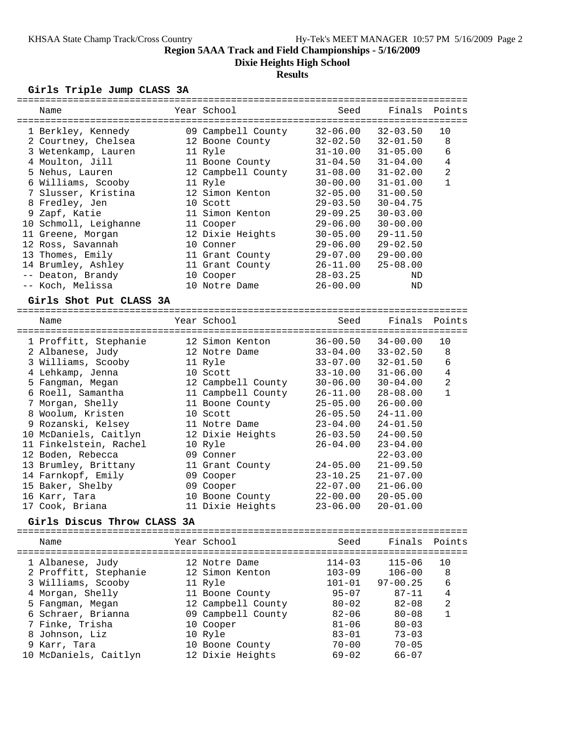**Dixie Heights High School**

# **Results**

## **Girls Triple Jump CLASS 3A**

| Name                                   | Year School                           | Seed         | Finals Points                |                |
|----------------------------------------|---------------------------------------|--------------|------------------------------|----------------|
|                                        |                                       |              |                              |                |
| 1 Berkley, Kennedy                     | 09 Campbell County                    | $32 - 06.00$ | $32 - 03.50$                 | 10             |
| 2 Courtney, Chelsea                    | 12 Boone County                       | $32 - 02.50$ | $32 - 01.50$                 | 8              |
| 3 Wetenkamp, Lauren                    | 11 Ryle                               | $31 - 10.00$ | $31 - 05.00$                 | 6              |
| 4 Moulton, Jill                        | 11 Boone County                       | $31 - 04.50$ | $31 - 04.00$                 | 4              |
| 5 Nehus, Lauren                        | 12 Campbell County                    | $31 - 08.00$ | $31 - 02.00$                 | $\overline{a}$ |
| 6 Williams, Scooby                     | 11 Ryle                               | $30 - 00.00$ | $31 - 01.00$                 | $\mathbf{1}$   |
| 7 Slusser, Kristina                    | 12 Simon Kenton                       | $32 - 05.00$ | $31 - 00.50$                 |                |
| 8 Fredley, Jen                         | 10 Scott                              | $29 - 03.50$ | $30 - 04.75$                 |                |
| 9 Zapf, Katie                          | 11 Simon Kenton                       | $29 - 09.25$ | $30 - 03.00$                 |                |
| 10 Schmoll, Leighanne                  | 11 Cooper                             | $29 - 06.00$ | $30 - 00.00$                 |                |
| 11 Greene, Morgan                      | 12 Dixie Heights                      | $30 - 05.00$ | $29 - 11.50$                 |                |
| 12 Ross, Savannah                      | 10 Conner                             | $29 - 06.00$ | $29 - 02.50$                 |                |
| 13 Thomes, Emily                       | 11 Grant County                       | $29 - 07.00$ | $29 - 00.00$                 |                |
| 14 Brumley, Ashley                     | 11 Grant County                       | $26 - 11.00$ | $25 - 08.00$                 |                |
| -- Deaton, Brandy                      | 10 Cooper                             | $28 - 03.25$ | ΝD                           |                |
| -- Koch, Melissa                       | 10 Notre Dame                         | $26 - 00.00$ | ND                           |                |
| Girls Shot Put CLASS 3A                |                                       |              |                              |                |
| Name                                   | Year School                           | Seed         | Finals                       | Points         |
|                                        |                                       |              |                              |                |
| 1 Proffitt, Stephanie                  | 12 Simon Kenton                       | $36 - 00.50$ | $34 - 00.00$                 | 10             |
| 2 Albanese, Judy                       | 12 Notre Dame                         | $33 - 04.00$ | $33 - 02.50$                 | 8              |
| 3 Williams, Scooby                     | 11 Ryle                               | $33 - 07.00$ | $32 - 01.50$                 | 6              |
| 4 Lehkamp, Jenna                       | 10 Scott                              | $33 - 10.00$ | $31 - 06.00$                 | 4              |
| 5 Fangman, Megan                       | 12 Campbell County                    | $30 - 06.00$ | $30 - 04.00$                 | 2              |
| 6 Roell, Samantha                      | 11 Campbell County                    | $26 - 11.00$ | $28 - 08.00$                 | 1              |
| 7 Morgan, Shelly                       | 11 Boone County                       | $25 - 05.00$ | $26 - 00.00$                 |                |
| 8 Woolum, Kristen                      | 10 Scott                              | $26 - 05.50$ | $24 - 11.00$                 |                |
| 9 Rozanski, Kelsey                     | 11 Notre Dame                         | $23 - 04.00$ | $24 - 01.50$                 |                |
| 10 McDaniels, Caitlyn                  | 12 Dixie Heights                      | $26 - 03.50$ | $24 - 00.50$                 |                |
| 11 Finkelstein, Rachel                 | 10 Ryle                               | $26 - 04.00$ | $23 - 04.00$                 |                |
| 12 Boden, Rebecca                      | 09 Conner                             |              | $22 - 03.00$                 |                |
| 13 Brumley, Brittany                   | 11 Grant County                       | $24 - 05.00$ | $21 - 09.50$                 |                |
| 14 Farnkopf, Emily                     | 09 Cooper                             | $23 - 10.25$ | $21 - 07.00$                 |                |
| 15 Baker, Shelby                       | 09 Cooper                             | $22 - 07.00$ | $21 - 06.00$                 |                |
| 16 Karr, Tara                          | 10 Boone County                       | $22 - 00.00$ | $20 - 05.00$                 |                |
| 17 Cook, Briana                        | 11 Dixie Heights                      | $23 - 06.00$ | $20 - 01.00$                 |                |
| Girls Discus Throw CLASS 3A            |                                       |              |                              |                |
|                                        |                                       |              |                              |                |
| Name                                   | Year School<br>---------------------- | Seed         | Finals                       | Points         |
| 1 Albanese, Judy                       | 12 Notre Dame                         | $114 - 03$   | =======<br>$= - -$<br>115-06 | ======<br>10   |
| 2 Proffitt, Stephanie                  | 12 Simon Kenton                       | $103 - 09$   | $106 - 00$                   | 8              |
|                                        |                                       | $101 - 01$   | $97 - 00.25$                 | 6              |
| 3 Williams, Scooby<br>4 Morgan, Shelly | 11 Ryle                               | $95 - 07$    | $87 - 11$                    | 4              |
|                                        | 11 Boone County<br>12 Campbell County | $80 - 02$    | $82 - 08$                    | 2              |
| 5 Fangman, Megan<br>6 Schraer, Brianna | 09 Campbell County                    | $82 - 06$    | $80 - 08$                    | 1              |
|                                        |                                       |              |                              |                |
| 7 Finke, Trisha<br>8 Johnson, Liz      | 10 Cooper                             | $81 - 06$    | $80 - 03$                    |                |
|                                        | 10 Ryle                               | $83 - 01$    | $73 - 03$                    |                |
| 9 Karr, Tara                           | 10 Boone County                       | $70 - 00$    | $70 - 05$                    |                |
| 10 McDaniels, Caitlyn                  | 12 Dixie Heights                      | $69 - 02$    | 66-07                        |                |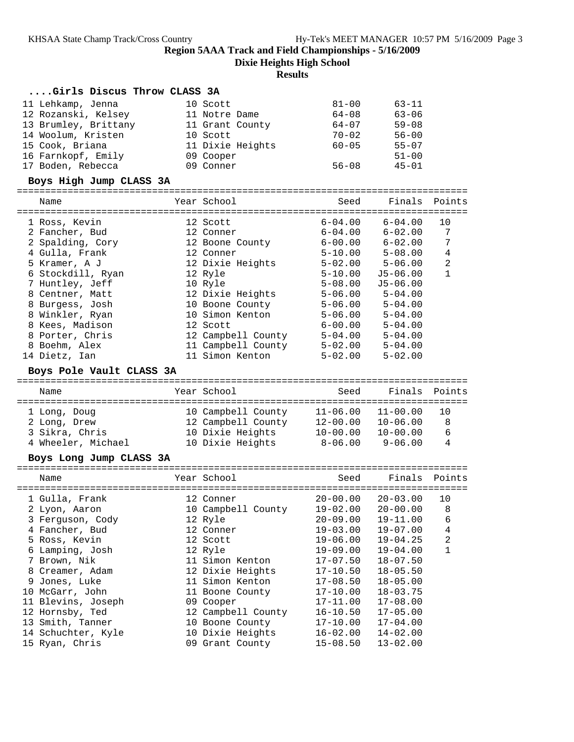**Dixie Heights High School**

#### **Results**

#### **....Girls Discus Throw CLASS 3A**

| 11 Lehkamp, Jenna    | 10 Scott         | $81 - 00$ | $63 - 11$ |
|----------------------|------------------|-----------|-----------|
| 12 Rozanski, Kelsey  | 11 Notre Dame    | $64 - 08$ | $63 - 06$ |
| 13 Brumley, Brittany | 11 Grant County  | $64 - 07$ | $59 - 08$ |
| 14 Woolum, Kristen   | 10 Scott         | $70 - 02$ | $56 - 00$ |
| 15 Cook, Briana      | 11 Dixie Heights | $60 - 05$ | $55 - 07$ |
| 16 Farnkopf, Emily   | 09 Cooper        |           | $51 - 00$ |
| 17 Boden, Rebecca    | 09 Conner        | $56 - 08$ | $45 - 01$ |

#### **Boys High Jump CLASS 3A**

================================================================================

| Name              | Year School        | Seed        | Finals Points |                |
|-------------------|--------------------|-------------|---------------|----------------|
| 1 Ross, Kevin     | 12 Scott           | $6 - 04.00$ | $6 - 04.00$   | 10             |
| 2 Fancher, Bud    | 12 Conner          | $6 - 04.00$ | $6 - 02.00$   | 7              |
| 2 Spalding, Cory  | 12 Boone County    | 6-00.00     | $6 - 02.00$   | 7              |
| 4 Gulla, Frank    | 12 Conner          | $5 - 10.00$ | $5 - 08.00$   | 4              |
| 5 Kramer, A J     | 12 Dixie Heights   | $5 - 02.00$ | $5 - 06.00$   | $\overline{2}$ |
| 6 Stockdill, Ryan | 12 Ryle            | $5 - 10.00$ | J5-06.00      | 1              |
| 7 Huntley, Jeff   | 10 Ryle            | $5 - 08.00$ | $J5-06.00$    |                |
| 8 Centner, Matt   | 12 Dixie Heights   | $5 - 06.00$ | $5 - 04.00$   |                |
| 8 Burgess, Josh   | 10 Boone County    | $5 - 06.00$ | $5 - 04.00$   |                |
| 8 Winkler, Ryan   | 10 Simon Kenton    | $5 - 06.00$ | $5 - 04.00$   |                |
| 8 Kees, Madison   | 12 Scott           | $6 - 00.00$ | $5 - 04.00$   |                |
| 8 Porter, Chris   | 12 Campbell County | $5 - 04.00$ | $5 - 04.00$   |                |
| 8 Boehm, Alex     | 11 Campbell County | $5 - 02.00$ | $5 - 04.00$   |                |
| 14 Dietz, Ian     | 11 Simon Kenton    | $5 - 02.00$ | $5 - 02.00$   |                |

#### **Boys Pole Vault CLASS 3A**

| Name                                                                 | Year School                                                                      | Seed                                                        | Finals Points                                               |                    |
|----------------------------------------------------------------------|----------------------------------------------------------------------------------|-------------------------------------------------------------|-------------------------------------------------------------|--------------------|
| 1 Long, Doug<br>2 Long, Drew<br>3 Sikra, Chris<br>4 Wheeler, Michael | 10 Campbell County<br>12 Campbell County<br>10 Dixie Heights<br>10 Dixie Heights | $11 - 06.00$<br>$12 - 00.00$<br>$10 - 00.00$<br>$8 - 06.00$ | $11 - 00.00$<br>$10 - 06.00$<br>$10 - 00.00$<br>$9 - 06.00$ | 1 O<br>8<br>6<br>4 |

#### **Boys Long Jump CLASS 3A**

| Name               | Year School        | Seed         | Finals Points |    |
|--------------------|--------------------|--------------|---------------|----|
| 1 Gulla, Frank     | 12 Conner          | $20 - 00.00$ | $20 - 03.00$  | 10 |
| 2 Lyon, Aaron      | 10 Campbell County | $19 - 02.00$ | $20 - 00.00$  | 8  |
| 3 Ferquson, Cody   | 12 Ryle            | $20 - 09.00$ | $19 - 11.00$  | 6  |
| 4 Fancher, Bud     | 12 Conner          | $19 - 03.00$ | $19 - 07.00$  | 4  |
| 5 Ross, Kevin      | 12 Scott           | $19 - 06.00$ | $19 - 04.25$  | 2  |
| 6 Lamping, Josh    | 12 Ryle            | $19 - 09.00$ | $19 - 04.00$  |    |
| 7 Brown, Nik       | 11 Simon Kenton    | 17-07.50     | $18 - 07.50$  |    |
| 8 Creamer, Adam    | 12 Dixie Heights   | 17-10.50     | $18 - 05.50$  |    |
| 9 Jones, Luke      | 11 Simon Kenton    | $17 - 08.50$ | $18 - 05.00$  |    |
| 10 McGarr, John    | 11 Boone County    | $17 - 10.00$ | $18 - 03.75$  |    |
| 11 Blevins, Joseph | 09 Cooper          | $17 - 11.00$ | $17 - 08.00$  |    |
| 12 Hornsby, Ted    | 12 Campbell County | $16 - 10.50$ | $17 - 05.00$  |    |
| 13 Smith, Tanner   | 10 Boone County    | $17 - 10.00$ | $17 - 04.00$  |    |
| 14 Schuchter, Kyle | 10 Dixie Heights   | 16-02.00     | $14 - 02.00$  |    |
| 15 Ryan, Chris     | 09 Grant County    | 15-08.50     | $13 - 02.00$  |    |
|                    |                    |              |               |    |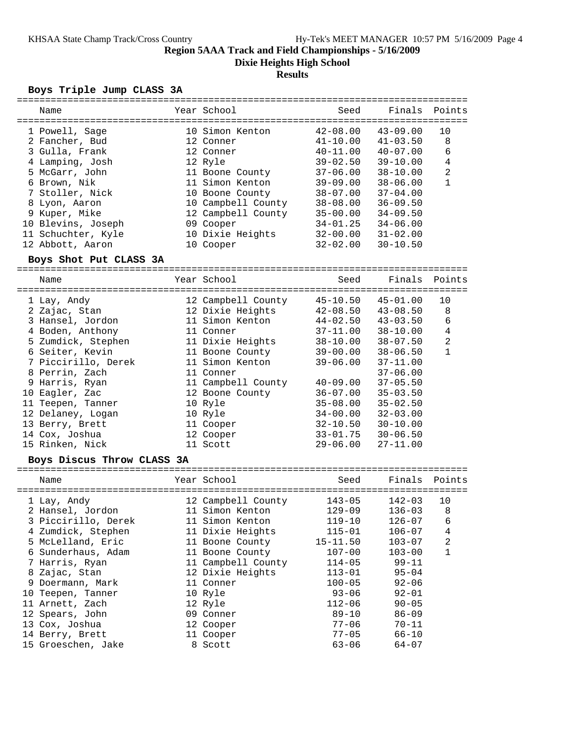**Dixie Heights High School**

#### **Results**

#### **Boys Triple Jump CLASS 3A**

| Name                   | Year School        | Seed           | Finals Points |                |  |  |  |  |
|------------------------|--------------------|----------------|---------------|----------------|--|--|--|--|
|                        |                    |                |               |                |  |  |  |  |
| 1 Powell, Sage         | 10 Simon Kenton    | 42-08.00       | $43 - 09.00$  | 10             |  |  |  |  |
| 2 Fancher, Bud         | 12 Conner          | 41-10.00       | $41 - 03.50$  | 8              |  |  |  |  |
| 3 Gulla, Frank         | 12 Conner          | $40 - 11.00$   | $40 - 07.00$  | 6              |  |  |  |  |
| 4 Lamping, Josh        | 12 Ryle            | $39 - 02.50$   | $39 - 10.00$  | 4              |  |  |  |  |
| 5 McGarr, John         | 11 Boone County    | $37 - 06.00$   | $38 - 10.00$  | $\overline{2}$ |  |  |  |  |
| 6 Brown, Nik           | 11 Simon Kenton    | $39 - 09.00$   | $38 - 06.00$  | $\mathbf 1$    |  |  |  |  |
| 7 Stoller, Nick        | 10 Boone County    | $38 - 07.00$   | $37 - 04.00$  |                |  |  |  |  |
| 8 Lyon, Aaron          | 10 Campbell County | $38 - 08.00$   | $36 - 09.50$  |                |  |  |  |  |
| 9 Kuper, Mike          | 12 Campbell County | $35 - 00.00$   | $34 - 09.50$  |                |  |  |  |  |
| 10 Blevins, Joseph     | 09 Cooper          | $34 - 01$ , 25 | $34 - 06.00$  |                |  |  |  |  |
| 11 Schuchter, Kyle     | 10 Dixie Heights   | 32-00.00       | $31 - 02.00$  |                |  |  |  |  |
| 12 Abbott, Aaron       | 10 Cooper          | 32-02.00       | $30 - 10.50$  |                |  |  |  |  |
| Boys Shot Put CLASS 3A |                    |                |               |                |  |  |  |  |
|                        |                    |                |               |                |  |  |  |  |
| Name                   | Year School        | Seed           | Finals        | Points         |  |  |  |  |

#### ================================================================================ 1 Lay, Andy 12 Campbell County 45-10.50 45-01.00 10 2 Zajac, Stan 12 Dixie Heights 42-08.50 43-08.50 8 3 Hansel, Jordon 11 Simon Kenton 44-02.50 43-03.50 6 4 Boden, Anthony 11 Conner 37-11.00 38-10.00 4 5 Zumdick, Stephen 11 Dixie Heights 38-10.00 38-07.50 2 6 Seiter, Kevin 11 Boone County 39-00.00 38-06.50 1 7 Piccirillo, Derek 11 Simon Kenton 39-06.00 37-11.00 8 Perrin, Zach 11 Conner 37-06.00 9 Harris, Ryan 11 Campbell County 40-09.00 37-05.50 10 Eagler, Zac 12 Boone County 36-07.00 35-03.50 11 Teepen, Tanner 10 Ryle 35-08.00 35-02.50 12 Delaney, Logan 10 Ryle 34-00.00 32-03.00 13 Berry, Brett 11 Cooper 32-10.50 30-10.00 14 Cox, Joshua 12 Cooper 33-01.75 30-06.50 15 Rinken, Nick 11 Scott 29-06.00 27-11.00

#### **Boys Discus Throw CLASS 3A**

| Name                | Year School        | Seed       | Finals Points |                |
|---------------------|--------------------|------------|---------------|----------------|
| 1 Lay, Andy         | 12 Campbell County | $143 - 05$ | 142-03        | 10             |
| 2 Hansel, Jordon    | 11 Simon Kenton    | $129 - 09$ | $136 - 03$    | 8              |
| 3 Piccirillo, Derek | 11 Simon Kenton    | $119 - 10$ | $126 - 07$    | 6              |
| 4 Zumdick, Stephen  | 11 Dixie Heights   | $115 - 01$ | $106 - 07$    | 4              |
| 5 McLelland, Eric   | 11 Boone County    | 15-11.50   | $103 - 07$    | $\overline{2}$ |
| 6 Sunderhaus, Adam  | 11 Boone County    | $107 - 00$ | $103 - 00$    | 1              |
| 7 Harris, Ryan      | 11 Campbell County | $114 - 05$ | $99 - 11$     |                |
| 8 Zajac, Stan       | 12 Dixie Heights   | $113 - 01$ | $95 - 04$     |                |
| 9 Doermann, Mark    | 11 Conner          | $100 - 05$ | $92 - 06$     |                |
| 10 Teepen, Tanner   | 10 Ryle            | $93 - 06$  | $92 - 01$     |                |
| 11 Arnett, Zach     | 12 Ryle            | $112 - 06$ | $90 - 05$     |                |
| 12 Spears, John     | 09 Conner          | $89 - 10$  | $86 - 09$     |                |
| 13 Cox, Joshua      | 12 Cooper          | 77-06      | $70 - 11$     |                |
| 14 Berry, Brett     | 11 Cooper          | $77 - 05$  | $66 - 10$     |                |
| 15 Groeschen, Jake  | 8 Scott            | $63 - 06$  | $64 - 07$     |                |
|                     |                    |            |               |                |